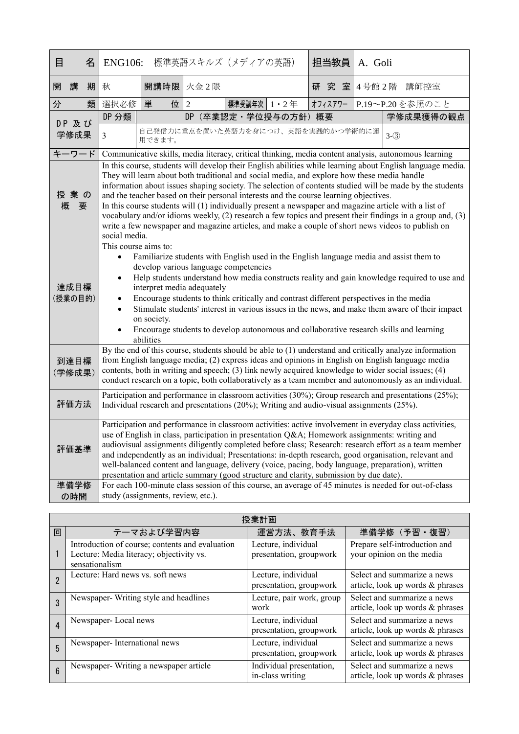| 目 |                                                                                                                                                                                                                                                                                                                                                                                                                                                                                                                                                                                                                                                                                                                                                                             | 名 | <b>ENG106:</b>                                                                                                                                                                                                                                                                                                                                                                                                                                                                                                                                                                                                           |                                              |   | 標準英語スキルズ (メディアの英語)   |  |         | 担当教員 | A. Goli |                                                                                                       |
|---|-----------------------------------------------------------------------------------------------------------------------------------------------------------------------------------------------------------------------------------------------------------------------------------------------------------------------------------------------------------------------------------------------------------------------------------------------------------------------------------------------------------------------------------------------------------------------------------------------------------------------------------------------------------------------------------------------------------------------------------------------------------------------------|---|--------------------------------------------------------------------------------------------------------------------------------------------------------------------------------------------------------------------------------------------------------------------------------------------------------------------------------------------------------------------------------------------------------------------------------------------------------------------------------------------------------------------------------------------------------------------------------------------------------------------------|----------------------------------------------|---|----------------------|--|---------|------|---------|-------------------------------------------------------------------------------------------------------|
| 開 | 講                                                                                                                                                                                                                                                                                                                                                                                                                                                                                                                                                                                                                                                                                                                                                                           | 期 | 秋                                                                                                                                                                                                                                                                                                                                                                                                                                                                                                                                                                                                                        | 開講時限 火金2限                                    |   |                      |  | 研       | 究室   |         | 4号館2階 講師控室                                                                                            |
| 分 |                                                                                                                                                                                                                                                                                                                                                                                                                                                                                                                                                                                                                                                                                                                                                                             | 類 | 選択必修                                                                                                                                                                                                                                                                                                                                                                                                                                                                                                                                                                                                                     | 単<br>位                                       | 2 | 標準受講年次   1 · 2年      |  | オフィスアワー |      |         | P.19~P.20を参照のこと                                                                                       |
|   | DP 及び                                                                                                                                                                                                                                                                                                                                                                                                                                                                                                                                                                                                                                                                                                                                                                       |   | DP 分類                                                                                                                                                                                                                                                                                                                                                                                                                                                                                                                                                                                                                    |                                              |   | DP (卒業認定·学位授与の方針) 概要 |  |         |      |         | 学修成果獲得の観点                                                                                             |
|   | 学修成果                                                                                                                                                                                                                                                                                                                                                                                                                                                                                                                                                                                                                                                                                                                                                                        |   | $\overline{3}$                                                                                                                                                                                                                                                                                                                                                                                                                                                                                                                                                                                                           | 自己発信力に重点を置いた英語力を身につけ、英語を実践的かつ学術的に運<br>用できます。 |   |                      |  |         |      |         | $3-(3)$                                                                                               |
|   | キーワード                                                                                                                                                                                                                                                                                                                                                                                                                                                                                                                                                                                                                                                                                                                                                                       |   |                                                                                                                                                                                                                                                                                                                                                                                                                                                                                                                                                                                                                          |                                              |   |                      |  |         |      |         | Communicative skills, media literacy, critical thinking, media content analysis, autonomous learning  |
|   | In this course, students will develop their English abilities while learning about English language media.<br>They will learn about both traditional and social media, and explore how these media handle<br>information about issues shaping society. The selection of contents studied will be made by the students<br>授業の<br>and the teacher based on their personal interests and the course learning objectives.<br>概<br>In this course students will (1) individually present a newspaper and magazine article with a list of<br>要<br>vocabulary and/or idioms weekly, (2) research a few topics and present their findings in a group and, (3)<br>write a few newspaper and magazine articles, and make a couple of short news videos to publish on<br>social media. |   |                                                                                                                                                                                                                                                                                                                                                                                                                                                                                                                                                                                                                          |                                              |   |                      |  |         |      |         |                                                                                                       |
|   | 達成目標<br>(授業の目的)                                                                                                                                                                                                                                                                                                                                                                                                                                                                                                                                                                                                                                                                                                                                                             |   | This course aims to:<br>Familiarize students with English used in the English language media and assist them to<br>$\bullet$<br>develop various language competencies<br>Help students understand how media constructs reality and gain knowledge required to use and<br>interpret media adequately<br>Encourage students to think critically and contrast different perspectives in the media<br>Stimulate students' interest in various issues in the news, and make them aware of their impact<br>on society.<br>Encourage students to develop autonomous and collaborative research skills and learning<br>abilities |                                              |   |                      |  |         |      |         |                                                                                                       |
|   | 到達目標<br>(学修成果)                                                                                                                                                                                                                                                                                                                                                                                                                                                                                                                                                                                                                                                                                                                                                              |   | By the end of this course, students should be able to (1) understand and critically analyze information<br>from English language media; (2) express ideas and opinions in English on English language media<br>contents, both in writing and speech; (3) link newly acquired knowledge to wider social issues; (4)<br>conduct research on a topic, both collaboratively as a team member and autonomously as an individual.                                                                                                                                                                                              |                                              |   |                      |  |         |      |         |                                                                                                       |
|   | 評価方法                                                                                                                                                                                                                                                                                                                                                                                                                                                                                                                                                                                                                                                                                                                                                                        |   | Participation and performance in classroom activities (30%); Group research and presentations (25%);<br>Individual research and presentations (20%); Writing and audio-visual assignments (25%).                                                                                                                                                                                                                                                                                                                                                                                                                         |                                              |   |                      |  |         |      |         |                                                                                                       |
|   | 評価基準                                                                                                                                                                                                                                                                                                                                                                                                                                                                                                                                                                                                                                                                                                                                                                        |   | Participation and performance in classroom activities: active involvement in everyday class activities,<br>use of English in class, participation in presentation Q&A Homework assignments: writing and<br>audiovisual assignments diligently completed before class; Research: research effort as a team member<br>and independently as an individual; Presentations: in-depth research, good organisation, relevant and<br>well-balanced content and language, delivery (voice, pacing, body language, preparation), written<br>presentation and article summary (good structure and clarity, submission by due date). |                                              |   |                      |  |         |      |         |                                                                                                       |
|   | 準備学修<br>の時間                                                                                                                                                                                                                                                                                                                                                                                                                                                                                                                                                                                                                                                                                                                                                                 |   |                                                                                                                                                                                                                                                                                                                                                                                                                                                                                                                                                                                                                          | study (assignments, review, etc.).           |   |                      |  |         |      |         | For each 100-minute class session of this course, an average of 45 minutes is needed for out-of-class |

| 授業計画            |                                                                                                               |                                                |                                                                 |  |  |
|-----------------|---------------------------------------------------------------------------------------------------------------|------------------------------------------------|-----------------------------------------------------------------|--|--|
| 回               | テーマおよび学習内容                                                                                                    | 運営方法、教育手法                                      | 準備学修 (予習·復習)                                                    |  |  |
|                 | Introduction of course; contents and evaluation<br>Lecture: Media literacy; objectivity vs.<br>sensationalism | Lecture, individual<br>presentation, groupwork | Prepare self-introduction and<br>your opinion on the media      |  |  |
|                 | Lecture: Hard news vs. soft news                                                                              | Lecture, individual<br>presentation, groupwork | Select and summarize a news<br>article, look up words & phrases |  |  |
| 3               | Newspaper-Writing style and headlines                                                                         | Lecture, pair work, group<br>work              | Select and summarize a news<br>article, look up words & phrases |  |  |
| 4               | Newspaper-Local news                                                                                          | Lecture, individual<br>presentation, groupwork | Select and summarize a news<br>article, look up words & phrases |  |  |
| 5               | Newspaper-International news                                                                                  | Lecture, individual<br>presentation, groupwork | Select and summarize a news<br>article, look up words & phrases |  |  |
| $6\overline{6}$ | Newspaper-Writing a newspaper article                                                                         | Individual presentation,<br>in-class writing   | Select and summarize a news<br>article, look up words & phrases |  |  |